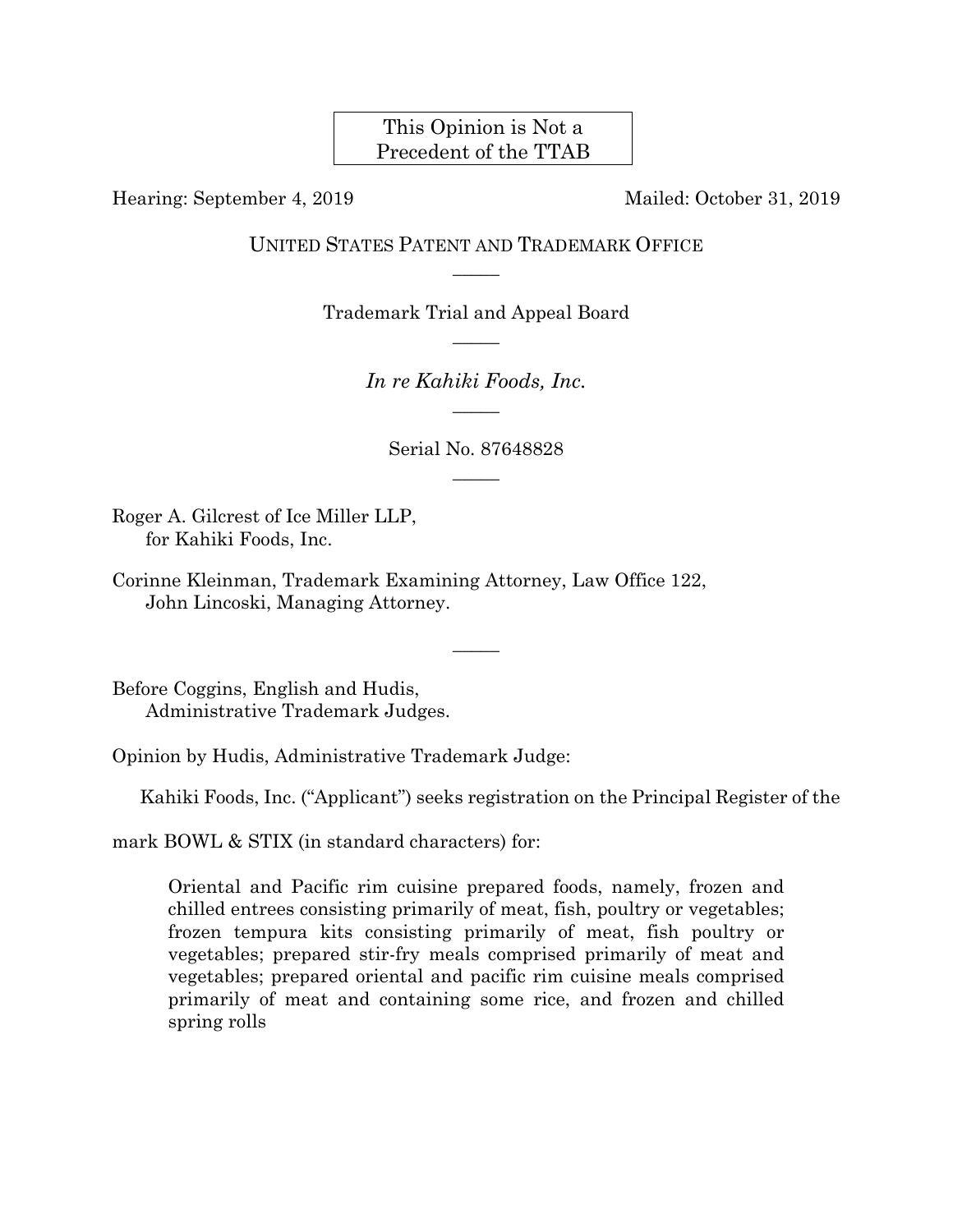This Opinion is Not a Precedent of the TTAB

Hearing: September 4, 2019 Mailed: October 31, 2019

UNITED STATES PATENT AND TRADEMARK OFFICE  $\overline{\phantom{a}}$ 

> Trademark Trial and Appeal Board  $\overline{\phantom{a}}$

> > *In re Kahiki Foods, Inc.*   $\overline{\phantom{a}}$

Serial No. 87648828  $\overline{\phantom{a}}$ 

 $\overline{\phantom{a}}$ 

Roger A. Gilcrest of Ice Miller LLP, for Kahiki Foods, Inc.

Corinne Kleinman, Trademark Examining Attorney, Law Office 122, John Lincoski, Managing Attorney.

Before Coggins, English and Hudis, Administrative Trademark Judges.

Opinion by Hudis, Administrative Trademark Judge:

Kahiki Foods, Inc. ("Applicant") seeks registration on the Principal Register of the

mark BOWL & STIX (in standard characters) for:

Oriental and Pacific rim cuisine prepared foods, namely, frozen and chilled entrees consisting primarily of meat, fish, poultry or vegetables; frozen tempura kits consisting primarily of meat, fish poultry or vegetables; prepared stir-fry meals comprised primarily of meat and vegetables; prepared oriental and pacific rim cuisine meals comprised primarily of meat and containing some rice, and frozen and chilled spring rolls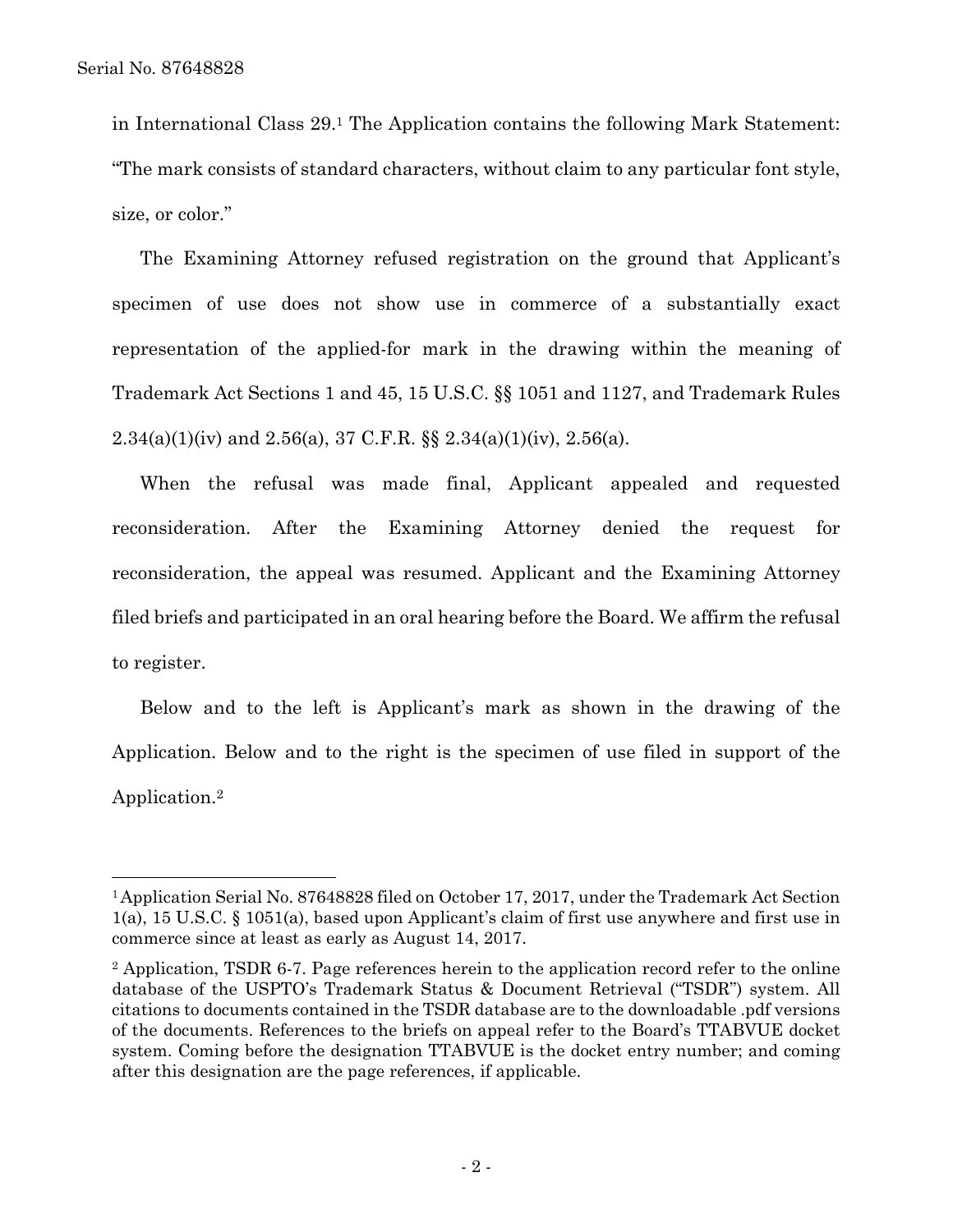$\overline{a}$ 

in International Class 29.1 The Application contains the following Mark Statement: "The mark consists of standard characters, without claim to any particular font style, size, or color."

The Examining Attorney refused registration on the ground that Applicant's specimen of use does not show use in commerce of a substantially exact representation of the applied-for mark in the drawing within the meaning of Trademark Act Sections 1 and 45, 15 U.S.C. §§ 1051 and 1127, and Trademark Rules 2.34(a)(1)(iv) and 2.56(a), 37 C.F.R. §§ 2.34(a)(1)(iv), 2.56(a).

When the refusal was made final, Applicant appealed and requested reconsideration. After the Examining Attorney denied the request for reconsideration, the appeal was resumed. Applicant and the Examining Attorney filed briefs and participated in an oral hearing before the Board. We affirm the refusal to register.

Below and to the left is Applicant's mark as shown in the drawing of the Application. Below and to the right is the specimen of use filed in support of the Application.2

<sup>1</sup> Application Serial No. 87648828 filed on October 17, 2017, under the Trademark Act Section 1(a), 15 U.S.C. § 1051(a), based upon Applicant's claim of first use anywhere and first use in commerce since at least as early as August 14, 2017.

<sup>&</sup>lt;sup>2</sup> Application, TSDR 6-7. Page references herein to the application record refer to the online database of the USPTO's Trademark Status & Document Retrieval ("TSDR") system. All citations to documents contained in the TSDR database are to the downloadable .pdf versions of the documents. References to the briefs on appeal refer to the Board's TTABVUE docket system. Coming before the designation TTABVUE is the docket entry number; and coming after this designation are the page references, if applicable.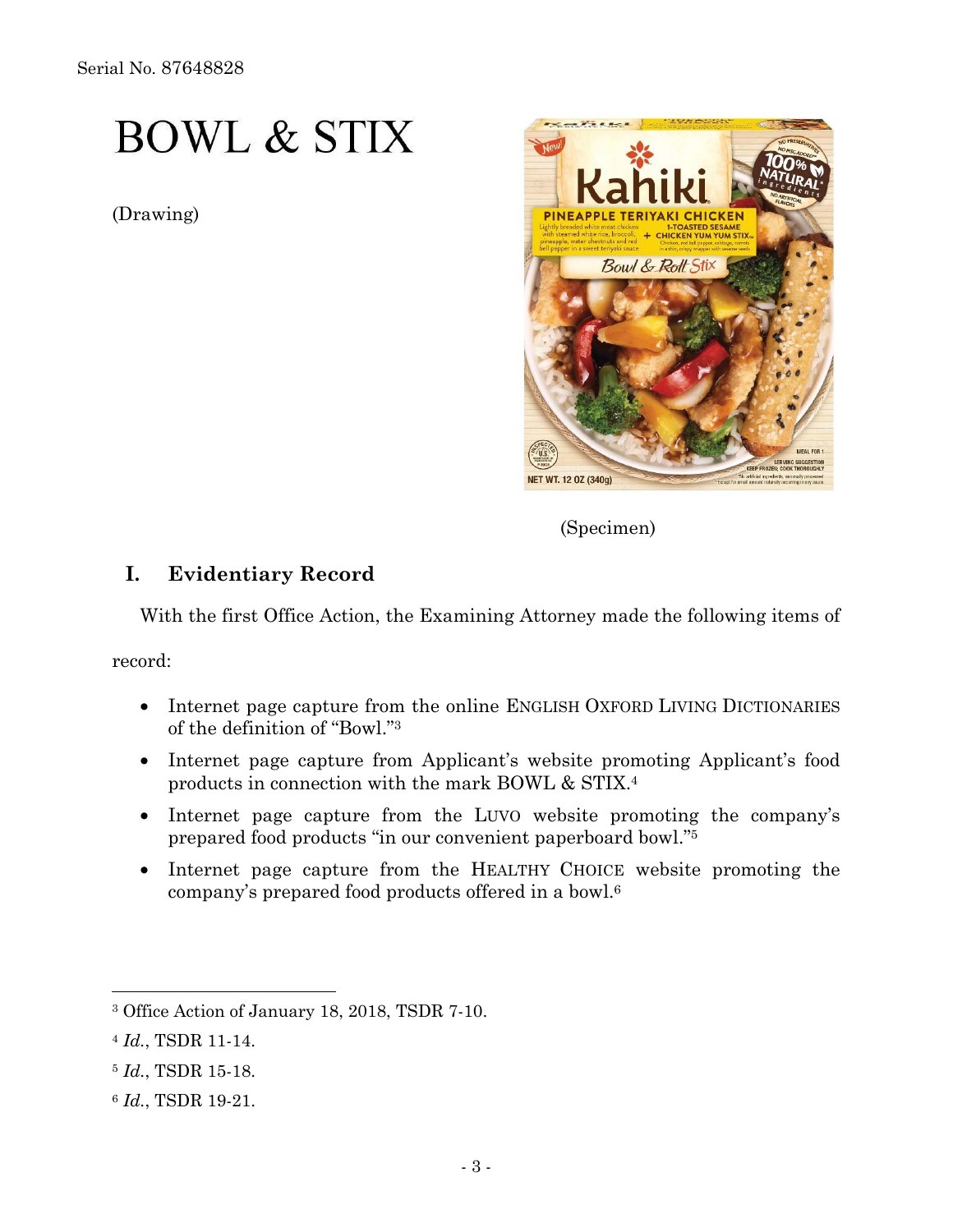Serial No. 87648828

# **BOWL & STIX**

(Drawing)



(Specimen)

## **I. Evidentiary Record**

With the first Office Action, the Examining Attorney made the following items of

record:

- Internet page capture from the online ENGLISH OXFORD LIVING DICTIONARIES of the definition of "Bowl."3
- Internet page capture from Applicant's website promoting Applicant's food products in connection with the mark BOWL & STIX.4
- Internet page capture from the LUVO website promoting the company's prepared food products "in our convenient paperboard bowl."5
- Internet page capture from the HEALTHY CHOICE website promoting the company's prepared food products offered in a bowl.6

<sup>3</sup> Office Action of January 18, 2018, TSDR 7-10.

<sup>4</sup> *Id.*, TSDR 11-14.

<sup>5</sup> *Id.*, TSDR 15-18.

<sup>6</sup> *Id.*, TSDR 19-21.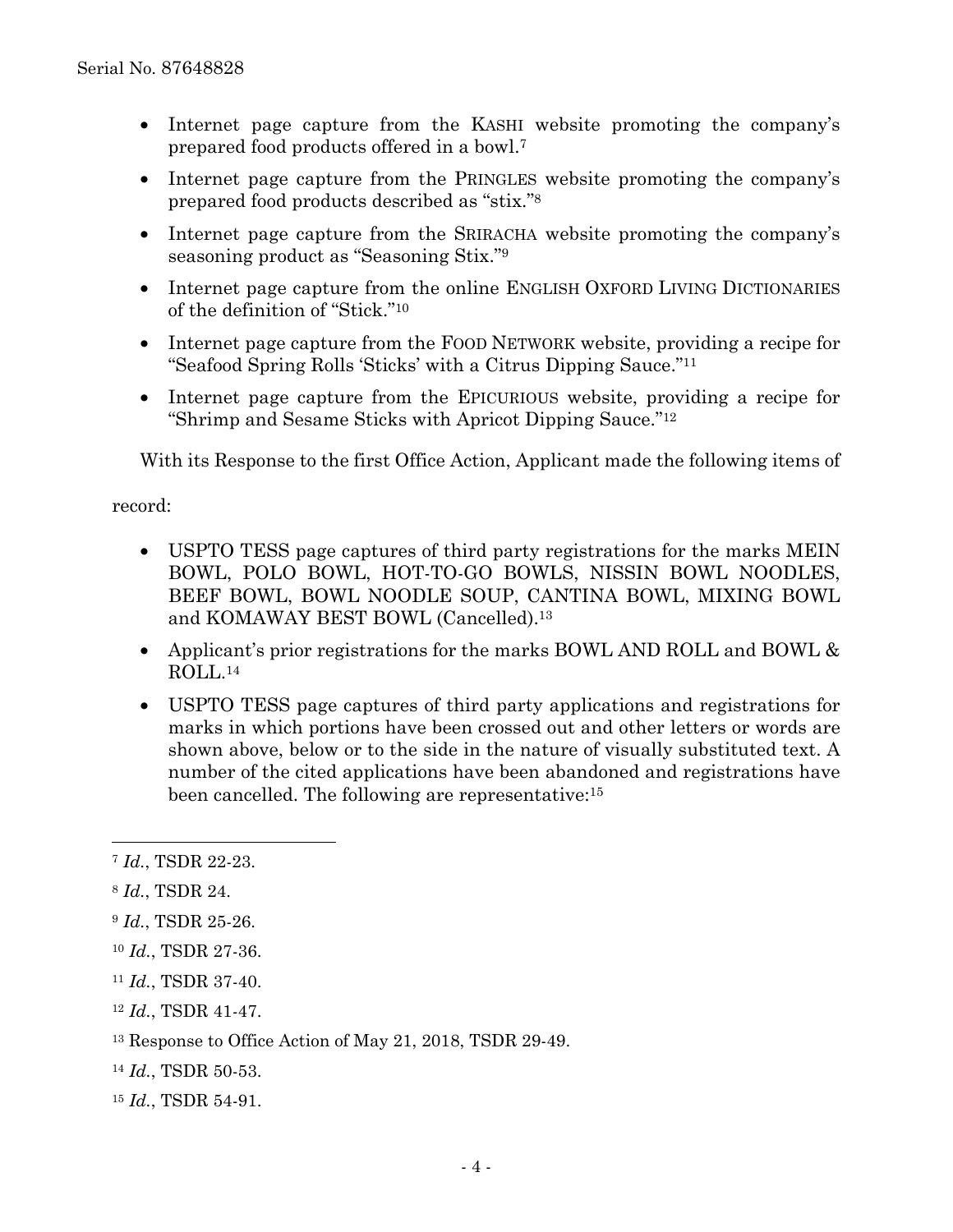- Internet page capture from the KASHI website promoting the company's prepared food products offered in a bowl.7
- Internet page capture from the PRINGLES website promoting the company's prepared food products described as "stix."8
- Internet page capture from the SRIRACHA website promoting the company's seasoning product as "Seasoning Stix."9
- Internet page capture from the online ENGLISH OXFORD LIVING DICTIONARIES of the definition of "Stick."10
- Internet page capture from the FOOD NETWORK website, providing a recipe for "Seafood Spring Rolls 'Sticks' with a Citrus Dipping Sauce."11
- Internet page capture from the EPICURIOUS website, providing a recipe for "Shrimp and Sesame Sticks with Apricot Dipping Sauce."12

With its Response to the first Office Action, Applicant made the following items of

record:

- USPTO TESS page captures of third party registrations for the marks MEIN BOWL, POLO BOWL, HOT-TO-GO BOWLS, NISSIN BOWL NOODLES, BEEF BOWL, BOWL NOODLE SOUP, CANTINA BOWL, MIXING BOWL and KOMAWAY BEST BOWL (Cancelled).13
- Applicant's prior registrations for the marks BOWL AND ROLL and BOWL  $\&$ ROLL.14
- USPTO TESS page captures of third party applications and registrations for marks in which portions have been crossed out and other letters or words are shown above, below or to the side in the nature of visually substituted text. A number of the cited applications have been abandoned and registrations have been cancelled. The following are representative:15

<sup>8</sup> *Id.*, TSDR 24.

<sup>7</sup> *Id.*, TSDR 22-23.

<sup>9</sup> *Id.*, TSDR 25-26.

<sup>10</sup> *Id.*, TSDR 27-36.

<sup>11</sup> *Id.*, TSDR 37-40.

<sup>12</sup> *Id.*, TSDR 41-47.

<sup>13</sup> Response to Office Action of May 21, 2018, TSDR 29-49.

<sup>14</sup> *Id.*, TSDR 50-53.

<sup>15</sup> *Id.*, TSDR 54-91.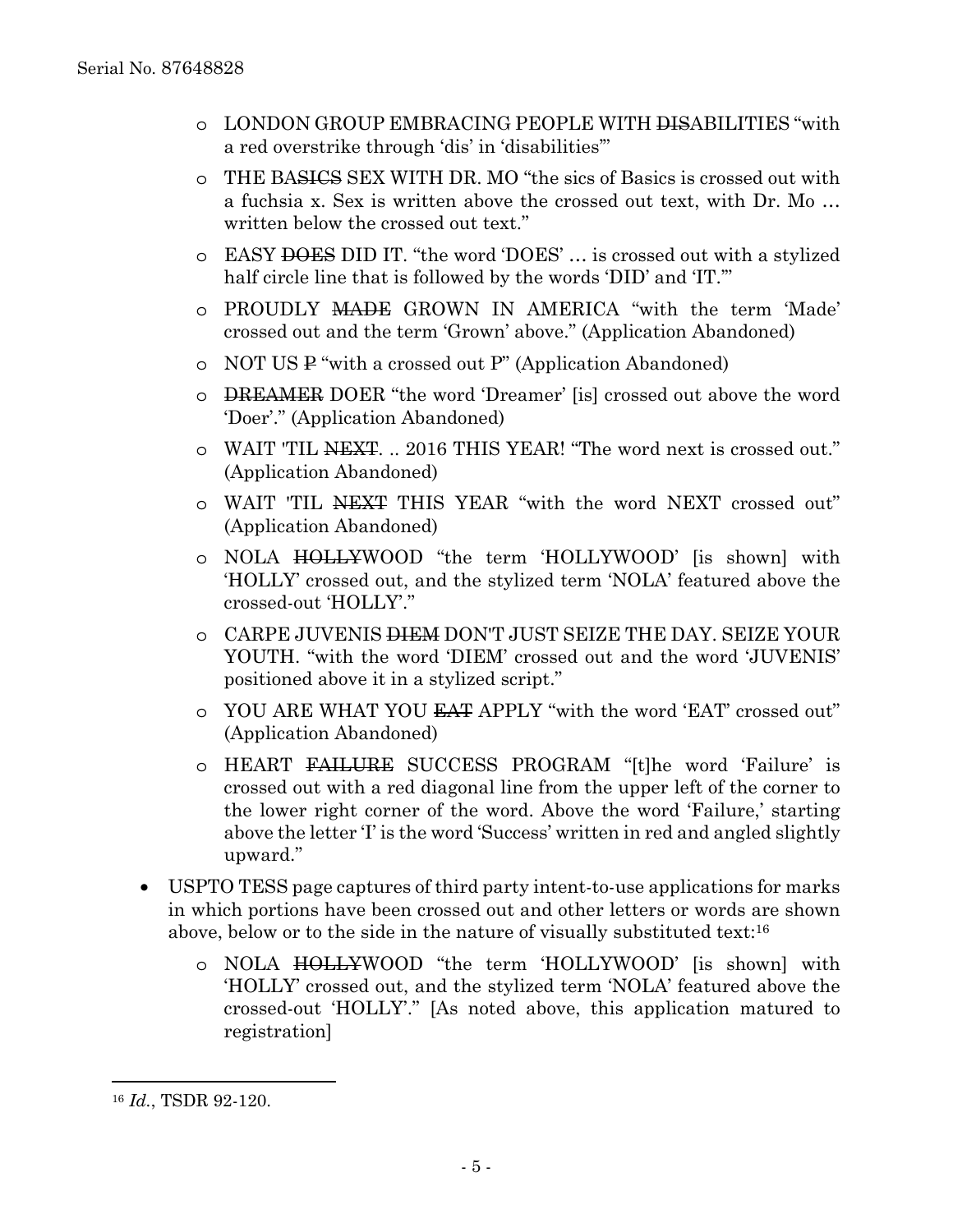- o LONDON GROUP EMBRACING PEOPLE WITH DISABILITIES "with a red overstrike through 'dis' in 'disabilities'"
- o THE BASICS SEX WITH DR. MO "the sics of Basics is crossed out with a fuchsia x. Sex is written above the crossed out text, with Dr. Mo … written below the crossed out text."
- o EASY DOES DID IT. "the word 'DOES' … is crossed out with a stylized half circle line that is followed by the words 'DID' and 'IT."
- o PROUDLY MADE GROWN IN AMERICA "with the term 'Made' crossed out and the term 'Grown' above." (Application Abandoned)
- o NOT US P "with a crossed out P" (Application Abandoned)
- o DREAMER DOER "the word 'Dreamer' [is] crossed out above the word 'Doer'." (Application Abandoned)
- o WAIT 'TIL NEXT. .. 2016 THIS YEAR! "The word next is crossed out." (Application Abandoned)
- o WAIT 'TIL NEXT THIS YEAR "with the word NEXT crossed out" (Application Abandoned)
- o NOLA HOLLYWOOD "the term 'HOLLYWOOD' [is shown] with 'HOLLY' crossed out, and the stylized term 'NOLA' featured above the crossed-out 'HOLLY'."
- o CARPE JUVENIS DIEM DON'T JUST SEIZE THE DAY. SEIZE YOUR YOUTH. "with the word 'DIEM' crossed out and the word 'JUVENIS' positioned above it in a stylized script."
- o YOU ARE WHAT YOU EAT APPLY "with the word 'EAT' crossed out" (Application Abandoned)
- o HEART FAILURE SUCCESS PROGRAM "[t]he word 'Failure' is crossed out with a red diagonal line from the upper left of the corner to the lower right corner of the word. Above the word 'Failure,' starting above the letter 'I' is the word 'Success' written in red and angled slightly upward."
- USPTO TESS page captures of third party intent-to-use applications for marks in which portions have been crossed out and other letters or words are shown above, below or to the side in the nature of visually substituted text:16
	- o NOLA HOLLYWOOD "the term 'HOLLYWOOD' [is shown] with 'HOLLY' crossed out, and the stylized term 'NOLA' featured above the crossed-out 'HOLLY'." [As noted above, this application matured to registration]

<sup>16</sup> *Id.*, TSDR 92-120.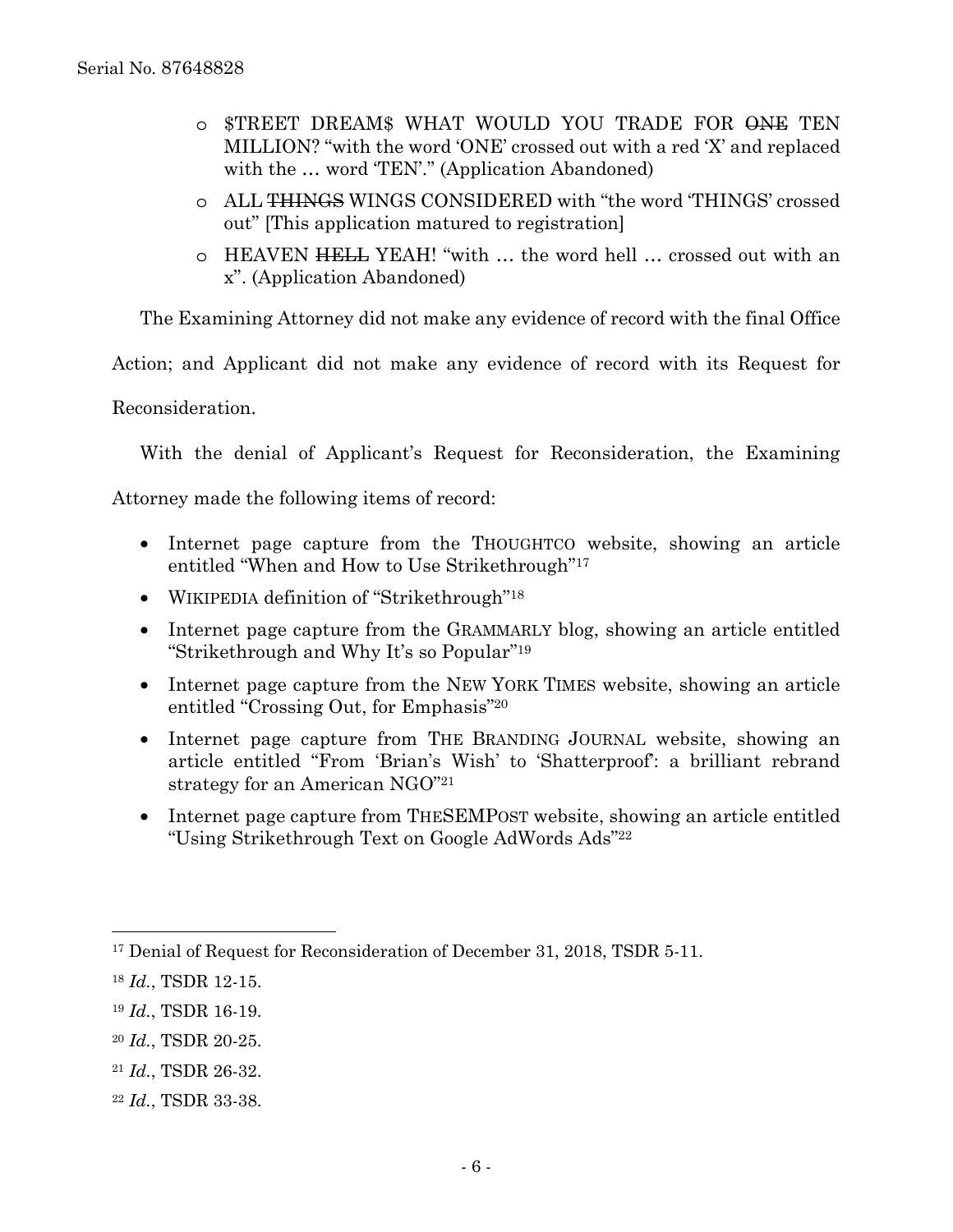- o \$TREET DREAM\$ WHAT WOULD YOU TRADE FOR ONE TEN MILLION? "with the word 'ONE' crossed out with a red 'X' and replaced with the ... word 'TEN'." (Application Abandoned)
- o ALL THINGS WINGS CONSIDERED with "the word 'THINGS' crossed out" [This application matured to registration]
- o HEAVEN HELL YEAH! "with … the word hell … crossed out with an x". (Application Abandoned)

The Examining Attorney did not make any evidence of record with the final Office

Action; and Applicant did not make any evidence of record with its Request for

Reconsideration.

With the denial of Applicant's Request for Reconsideration, the Examining

Attorney made the following items of record:

- Internet page capture from the THOUGHTCO website, showing an article entitled "When and How to Use Strikethrough"17
- WIKIPEDIA definition of "Strikethrough"<sup>18</sup>
- Internet page capture from the GRAMMARLY blog, showing an article entitled "Strikethrough and Why It's so Popular"19
- Internet page capture from the NEW YORK TIMES website, showing an article entitled "Crossing Out, for Emphasis"20
- Internet page capture from THE BRANDING JOURNAL website, showing an article entitled "From 'Brian's Wish' to 'Shatterproof': a brilliant rebrand strategy for an American NGO"21
- Internet page capture from THESEMPOST website, showing an article entitled "Using Strikethrough Text on Google AdWords Ads"22

 $\overline{a}$ 

<sup>20</sup> *Id.*, TSDR 20-25.

<sup>&</sup>lt;sup>17</sup> Denial of Request for Reconsideration of December 31, 2018, TSDR 5-11.

<sup>18</sup> *Id.*, TSDR 12-15.

<sup>19</sup> *Id.*, TSDR 16-19.

<sup>21</sup> *Id.*, TSDR 26-32.

<sup>22</sup> *Id.*, TSDR 33-38.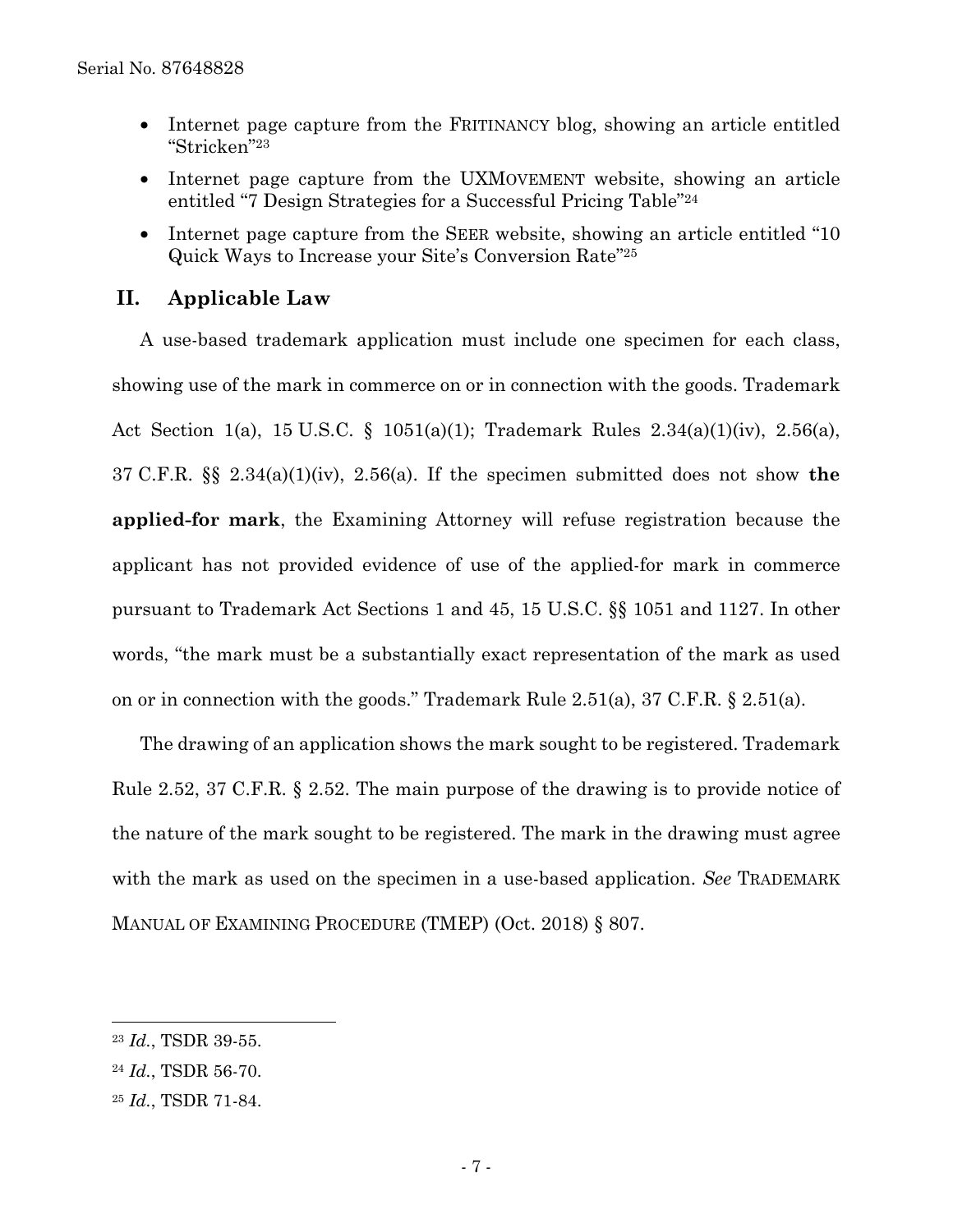- Internet page capture from the FRITINANCY blog, showing an article entitled "Stricken"23
- Internet page capture from the UXMOVEMENT website, showing an article entitled "7 Design Strategies for a Successful Pricing Table"24
- Internet page capture from the SEER website, showing an article entitled "10" Quick Ways to Increase your Site's Conversion Rate"25

## **II. Applicable Law**

 A use-based trademark application must include one specimen for each class, showing use of the mark in commerce on or in connection with the goods. Trademark Act Section 1(a), 15 U.S.C. § 1051(a)(1); Trademark Rules 2.34(a)(1)(iv), 2.56(a), 37 C.F.R. §§ 2.34(a)(1)(iv), 2.56(a). If the specimen submitted does not show **the applied-for mark**, the Examining Attorney will refuse registration because the applicant has not provided evidence of use of the applied-for mark in commerce pursuant to Trademark Act Sections 1 and 45, 15 U.S.C. §§ 1051 and 1127. In other words, "the mark must be a substantially exact representation of the mark as used on or in connection with the goods." Trademark Rule 2.51(a), 37 C.F.R. § 2.51(a).

 The drawing of an application shows the mark sought to be registered. Trademark Rule 2.52, 37 C.F.R. § 2.52. The main purpose of the drawing is to provide notice of the nature of the mark sought to be registered. The mark in the drawing must agree with the mark as used on the specimen in a use-based application. *See* TRADEMARK MANUAL OF EXAMINING PROCEDURE (TMEP) (Oct. 2018) § 807.

l

<sup>23</sup> *Id.*, TSDR 39-55.

<sup>24</sup> *Id.*, TSDR 56-70.

<sup>25</sup> *Id.*, TSDR 71-84.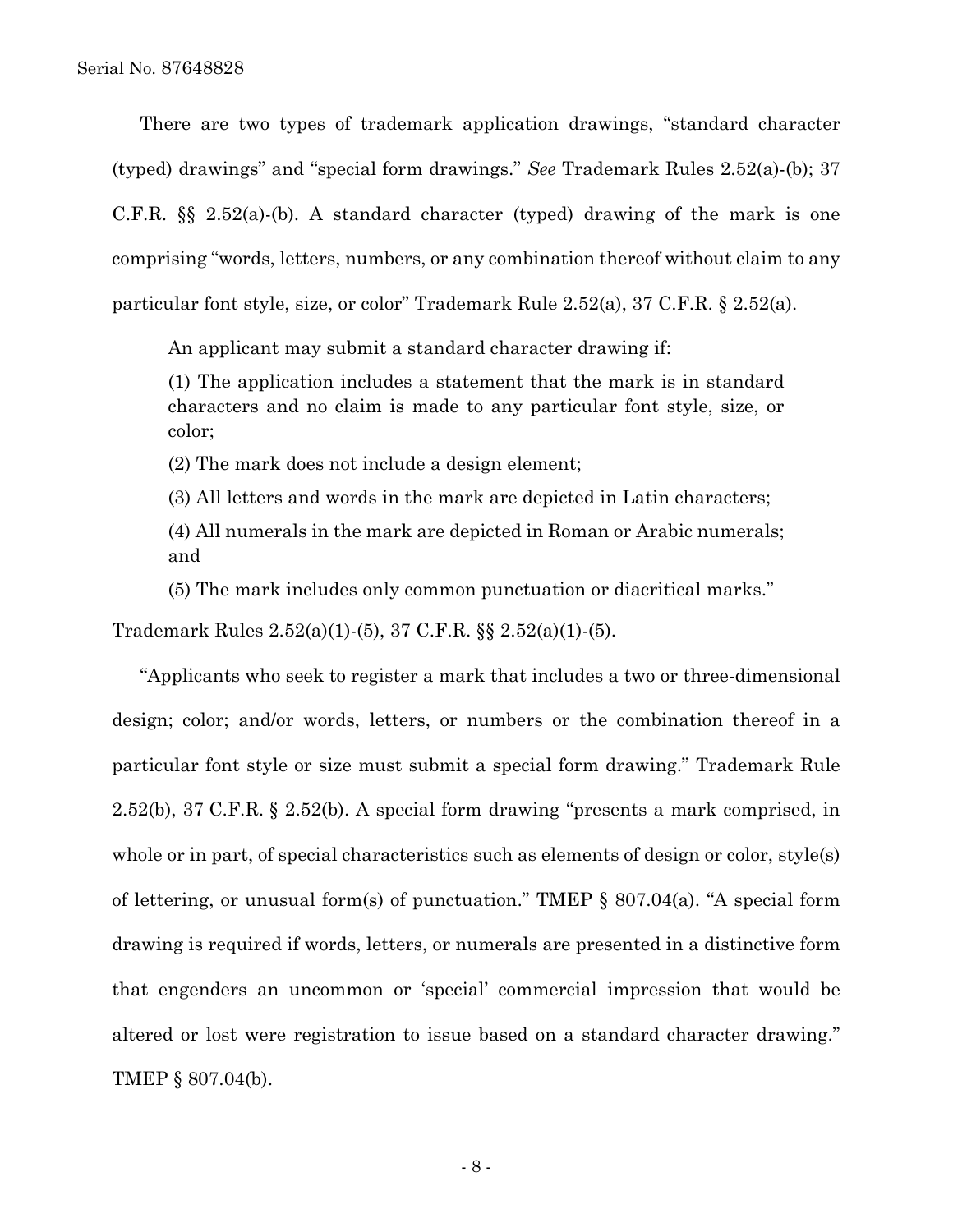There are two types of trademark application drawings, "standard character (typed) drawings" and "special form drawings." *See* Trademark Rules 2.52(a)-(b); 37 C.F.R. §§ 2.52(a)-(b). A standard character (typed) drawing of the mark is one comprising "words, letters, numbers, or any combination thereof without claim to any particular font style, size, or color" Trademark Rule 2.52(a), 37 C.F.R. § 2.52(a).

An applicant may submit a standard character drawing if:

(1) The application includes a statement that the mark is in standard characters and no claim is made to any particular font style, size, or color;

(2) The mark does not include a design element;

(3) All letters and words in the mark are depicted in Latin characters;

(4) All numerals in the mark are depicted in Roman or Arabic numerals; and

(5) The mark includes only common punctuation or diacritical marks."

Trademark Rules 2.52(a)(1)-(5), 37 C.F.R. §§ 2.52(a)(1)-(5).

 "Applicants who seek to register a mark that includes a two or three-dimensional design; color; and/or words, letters, or numbers or the combination thereof in a particular font style or size must submit a special form drawing." Trademark Rule 2.52(b), 37 C.F.R. § 2.52(b). A special form drawing "presents a mark comprised, in whole or in part, of special characteristics such as elements of design or color, style(s) of lettering, or unusual form(s) of punctuation." TMEP § 807.04(a). "A special form drawing is required if words, letters, or numerals are presented in a distinctive form that engenders an uncommon or 'special' commercial impression that would be altered or lost were registration to issue based on a standard character drawing." TMEP § 807.04(b).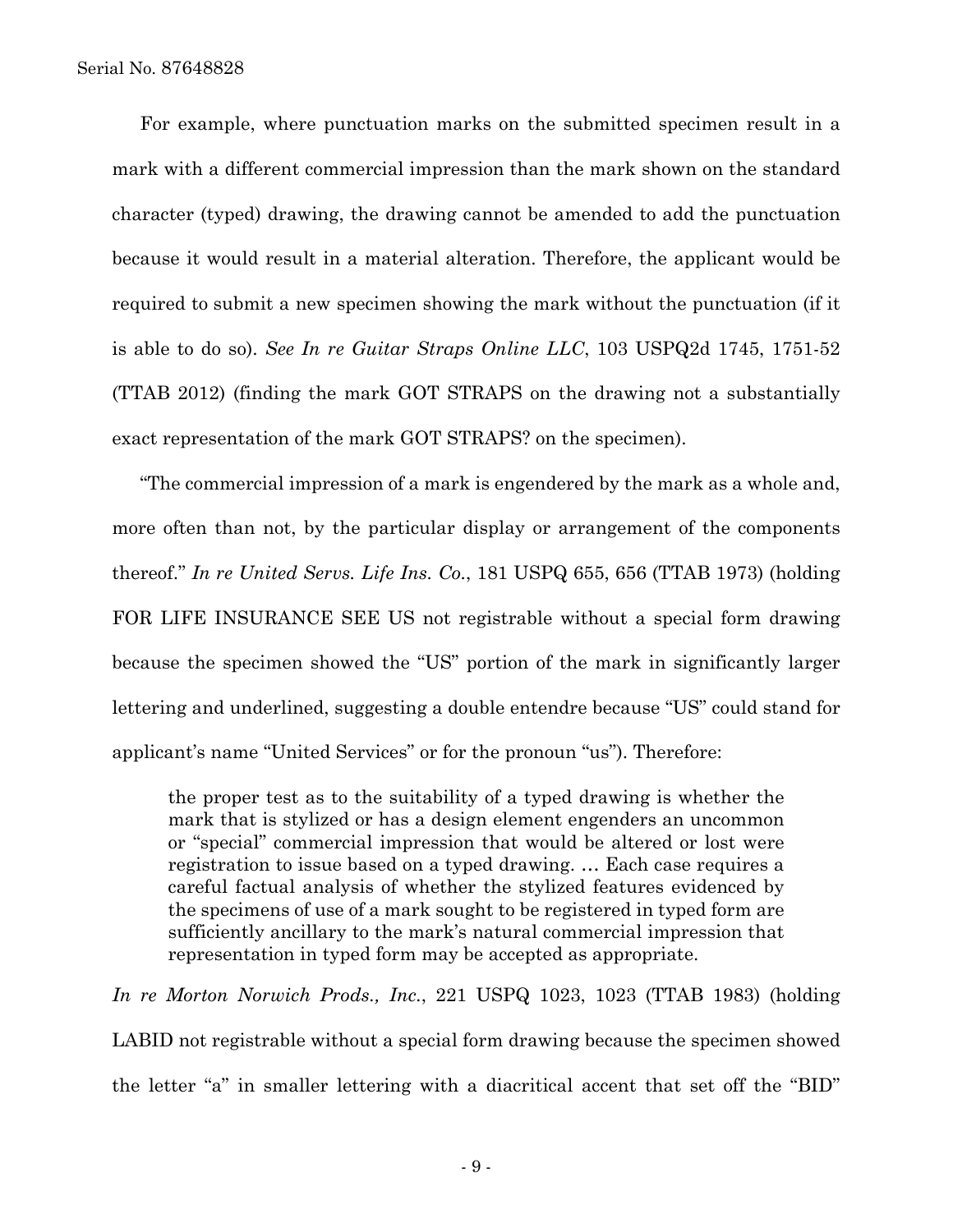For example, where punctuation marks on the submitted specimen result in a mark with a different commercial impression than the mark shown on the standard character (typed) drawing, the drawing cannot be amended to add the punctuation because it would result in a material alteration. Therefore, the applicant would be required to submit a new specimen showing the mark without the punctuation (if it is able to do so). *See In re Guitar Straps Online LLC*, 103 USPQ2d 1745, 1751-52 (TTAB 2012) (finding the mark GOT STRAPS on the drawing not a substantially exact representation of the mark GOT STRAPS? on the specimen).

 "The commercial impression of a mark is engendered by the mark as a whole and, more often than not, by the particular display or arrangement of the components thereof." *In re United Servs. Life Ins. Co.*, 181 USPQ 655, 656 (TTAB 1973) (holding FOR LIFE INSURANCE SEE US not registrable without a special form drawing because the specimen showed the "US" portion of the mark in significantly larger lettering and underlined, suggesting a double entendre because "US" could stand for applicant's name "United Services" or for the pronoun "us"). Therefore:

the proper test as to the suitability of a typed drawing is whether the mark that is stylized or has a design element engenders an uncommon or "special" commercial impression that would be altered or lost were registration to issue based on a typed drawing. … Each case requires a careful factual analysis of whether the stylized features evidenced by the specimens of use of a mark sought to be registered in typed form are sufficiently ancillary to the mark's natural commercial impression that representation in typed form may be accepted as appropriate.

*In re Morton Norwich Prods., Inc.*, 221 USPQ 1023, 1023 (TTAB 1983) (holding LABID not registrable without a special form drawing because the specimen showed the letter "a" in smaller lettering with a diacritical accent that set off the "BID"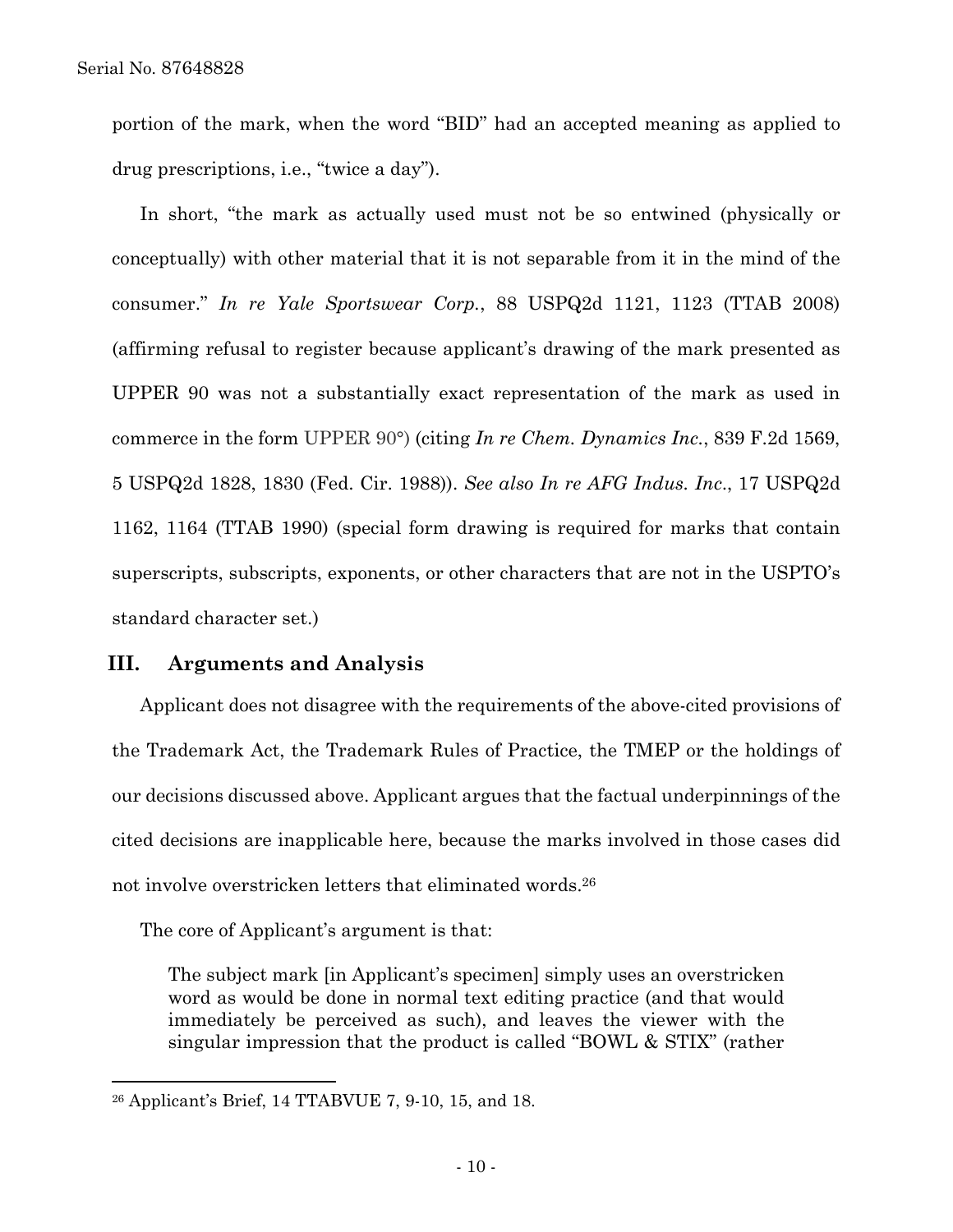portion of the mark, when the word "BID" had an accepted meaning as applied to drug prescriptions, i.e., "twice a day").

 In short, "the mark as actually used must not be so entwined (physically or conceptually) with other material that it is not separable from it in the mind of the consumer." *In re Yale Sportswear Corp.*, 88 USPQ2d 1121, 1123 (TTAB 2008) (affirming refusal to register because applicant's drawing of the mark presented as UPPER 90 was not a substantially exact representation of the mark as used in commerce in the form UPPER 90°) (citing *In re Chem. Dynamics Inc.*, 839 F.2d 1569, 5 USPQ2d 1828, 1830 (Fed. Cir. 1988)). *See also In re AFG Indus. Inc*., 17 USPQ2d 1162, 1164 (TTAB 1990) (special form drawing is required for marks that contain superscripts, subscripts, exponents, or other characters that are not in the USPTO's standard character set.)

### **III. Arguments and Analysis**

 Applicant does not disagree with the requirements of the above-cited provisions of the Trademark Act, the Trademark Rules of Practice, the TMEP or the holdings of our decisions discussed above. Applicant argues that the factual underpinnings of the cited decisions are inapplicable here, because the marks involved in those cases did not involve overstricken letters that eliminated words.26

The core of Applicant's argument is that:

The subject mark [in Applicant's specimen] simply uses an overstricken word as would be done in normal text editing practice (and that would immediately be perceived as such), and leaves the viewer with the singular impression that the product is called "BOWL & STIX" (rather

<sup>26</sup> Applicant's Brief, 14 TTABVUE 7, 9-10, 15, and 18.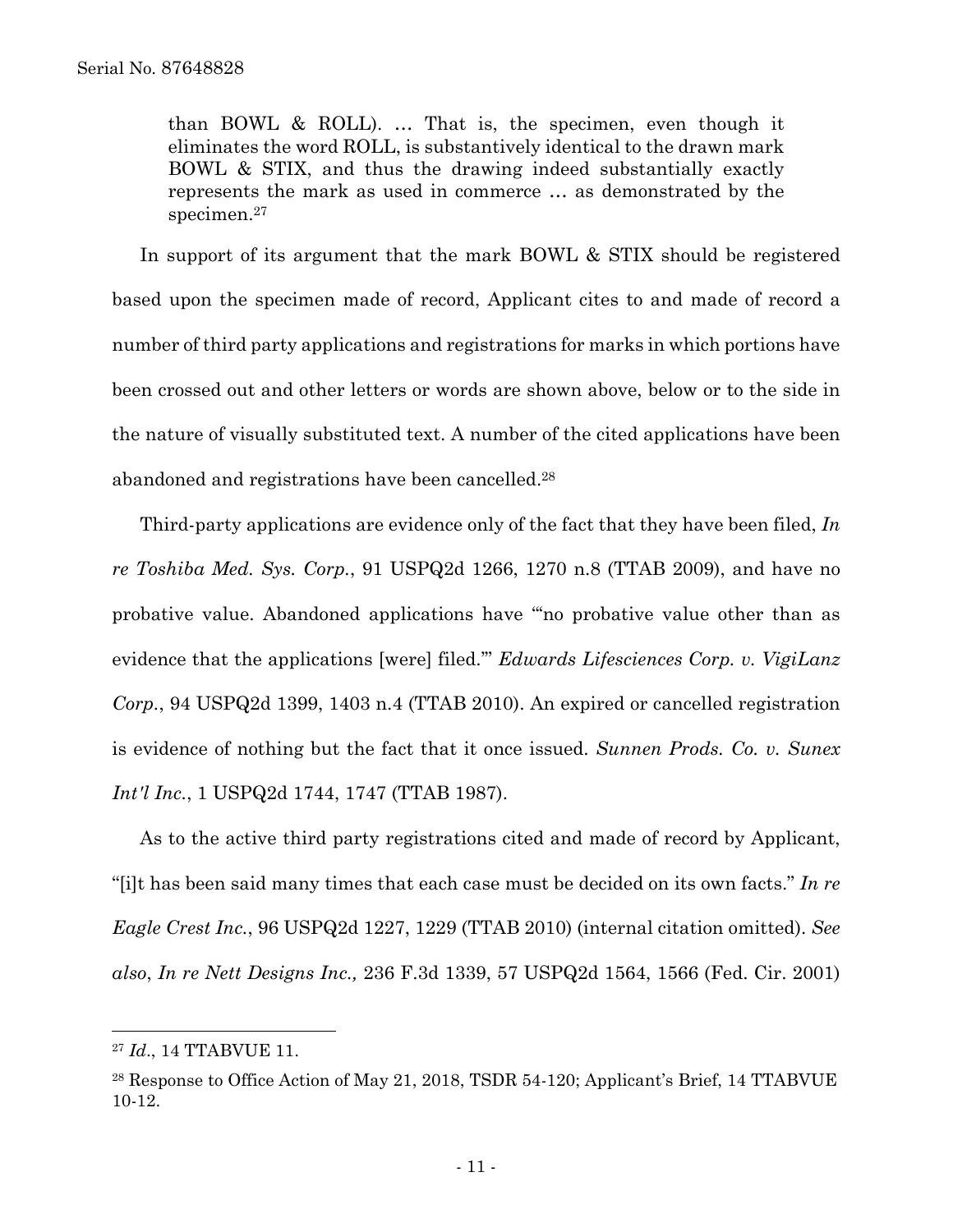than BOWL & ROLL). … That is, the specimen, even though it eliminates the word ROLL, is substantively identical to the drawn mark BOWL & STIX, and thus the drawing indeed substantially exactly represents the mark as used in commerce … as demonstrated by the specimen.27

In support of its argument that the mark BOWL & STIX should be registered based upon the specimen made of record, Applicant cites to and made of record a number of third party applications and registrations for marks in which portions have been crossed out and other letters or words are shown above, below or to the side in the nature of visually substituted text. A number of the cited applications have been abandoned and registrations have been cancelled.28

 Third-party applications are evidence only of the fact that they have been filed, *In re Toshiba Med. Sys. Corp.*, 91 USPQ2d 1266, 1270 n.8 (TTAB 2009), and have no probative value. Abandoned applications have "'no probative value other than as evidence that the applications [were] filed.'" *Edwards Lifesciences Corp. v. VigiLanz Corp.*, 94 USPQ2d 1399, 1403 n.4 (TTAB 2010). An expired or cancelled registration is evidence of nothing but the fact that it once issued. *Sunnen Prods. Co. v. Sunex Int'l Inc.*, 1 USPQ2d 1744, 1747 (TTAB 1987).

 As to the active third party registrations cited and made of record by Applicant, "[i]t has been said many times that each case must be decided on its own facts." *In re Eagle Crest Inc.*, 96 USPQ2d 1227, 1229 (TTAB 2010) (internal citation omitted). *See also*, *In re Nett Designs Inc.,* 236 F.3d 1339, 57 USPQ2d 1564, 1566 (Fed. Cir. 2001)

<sup>27</sup> *Id*., 14 TTABVUE 11.

<sup>&</sup>lt;sup>28</sup> Response to Office Action of May 21, 2018, TSDR 54-120; Applicant's Brief, 14 TTABVUE 10-12.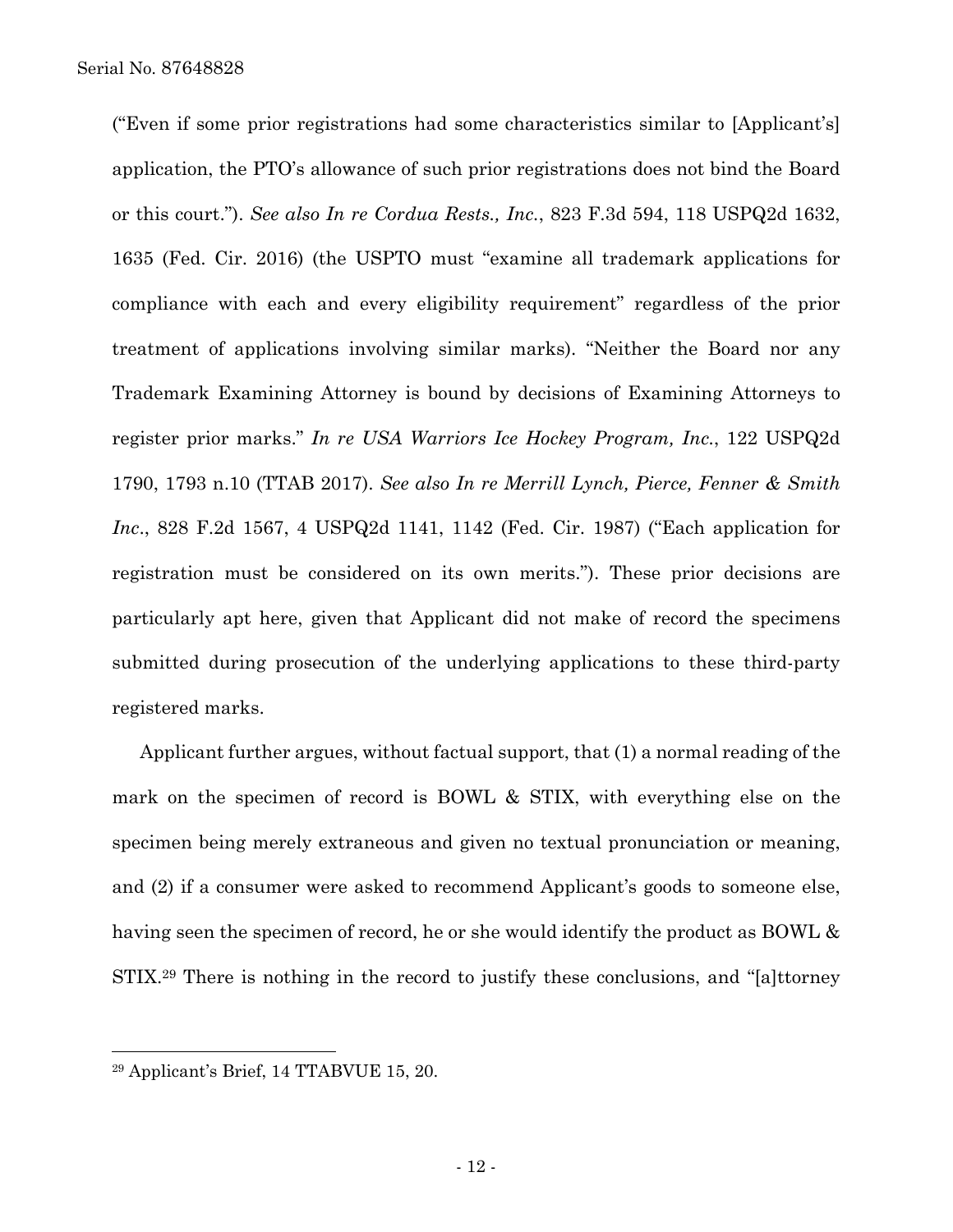("Even if some prior registrations had some characteristics similar to [Applicant's] application, the PTO's allowance of such prior registrations does not bind the Board or this court."). *See also In re Cordua Rests., Inc.*, 823 F.3d 594, 118 USPQ2d 1632, 1635 (Fed. Cir. 2016) (the USPTO must "examine all trademark applications for compliance with each and every eligibility requirement" regardless of the prior treatment of applications involving similar marks). "Neither the Board nor any Trademark Examining Attorney is bound by decisions of Examining Attorneys to register prior marks." *In re USA Warriors Ice Hockey Program, Inc.*, 122 USPQ2d 1790, 1793 n.10 (TTAB 2017). *See also In re Merrill Lynch, Pierce, Fenner & Smith Inc*., 828 F.2d 1567, 4 USPQ2d 1141, 1142 (Fed. Cir. 1987) ("Each application for registration must be considered on its own merits."). These prior decisions are particularly apt here, given that Applicant did not make of record the specimens submitted during prosecution of the underlying applications to these third-party registered marks.

 Applicant further argues, without factual support, that (1) a normal reading of the mark on the specimen of record is BOWL & STIX, with everything else on the specimen being merely extraneous and given no textual pronunciation or meaning, and (2) if a consumer were asked to recommend Applicant's goods to someone else, having seen the specimen of record, he or she would identify the product as BOWL & STIX.29 There is nothing in the record to justify these conclusions, and "[a]ttorney

<sup>29</sup> Applicant's Brief, 14 TTABVUE 15, 20.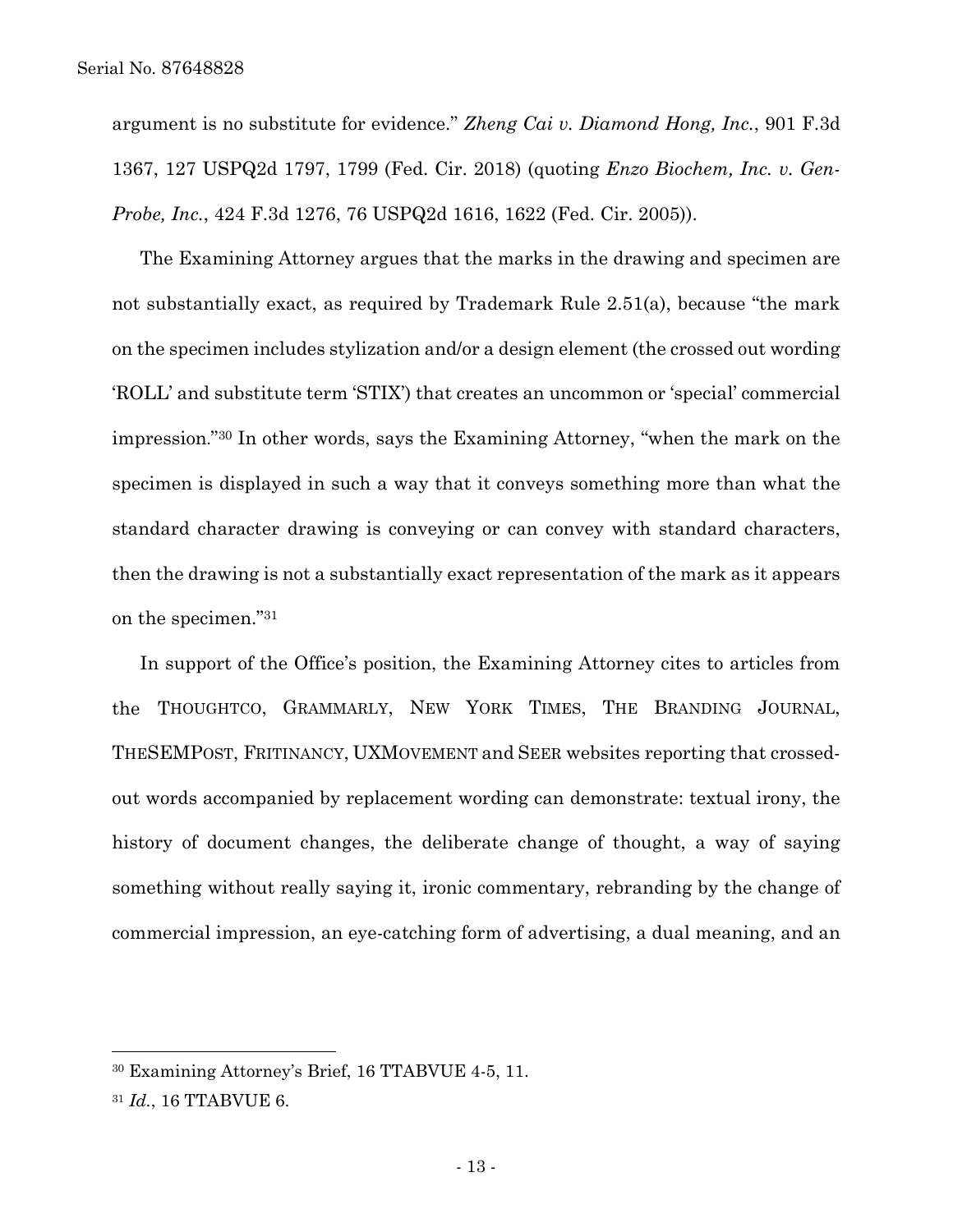argument is no substitute for evidence." *Zheng Cai v. Diamond Hong, Inc.*, 901 F.3d 1367, 127 USPQ2d 1797, 1799 (Fed. Cir. 2018) (quoting *Enzo Biochem, Inc. v. Gen-Probe, Inc.*, 424 F.3d 1276, 76 USPQ2d 1616, 1622 (Fed. Cir. 2005)).

 The Examining Attorney argues that the marks in the drawing and specimen are not substantially exact, as required by Trademark Rule 2.51(a), because "the mark on the specimen includes stylization and/or a design element (the crossed out wording 'ROLL' and substitute term 'STIX') that creates an uncommon or 'special' commercial impression."30 In other words, says the Examining Attorney, "when the mark on the specimen is displayed in such a way that it conveys something more than what the standard character drawing is conveying or can convey with standard characters, then the drawing is not a substantially exact representation of the mark as it appears on the specimen."31

 In support of the Office's position, the Examining Attorney cites to articles from the THOUGHTCO, GRAMMARLY, NEW YORK TIMES, THE BRANDING JOURNAL, THESEMPOST, FRITINANCY, UXMOVEMENT and SEER websites reporting that crossedout words accompanied by replacement wording can demonstrate: textual irony, the history of document changes, the deliberate change of thought, a way of saying something without really saying it, ironic commentary, rebranding by the change of commercial impression, an eye-catching form of advertising, a dual meaning, and an

<sup>30</sup> Examining Attorney's Brief, 16 TTABVUE 4-5, 11.

<sup>31</sup> *Id.*, 16 TTABVUE 6.